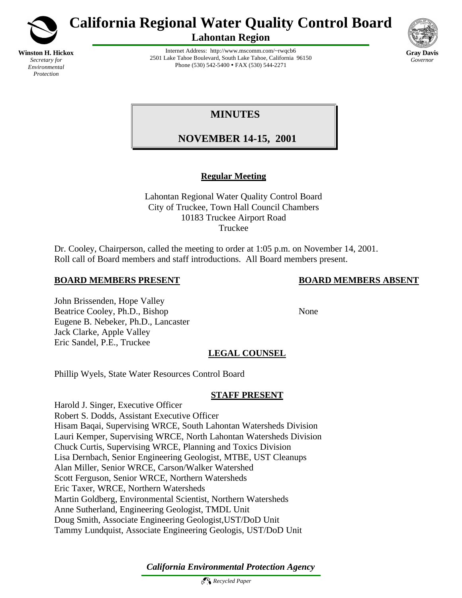

*Environmental Protection*

**California Regional Water Quality Control Board**

**Lahontan Region**



Internet Address: http://www.mscomm.com/~rwqcb6 2501 Lake Tahoe Boulevard, South Lake Tahoe, California 96150 Phone (530) 542-5400 • FAX (530) 544-2271

# **MINUTES**

# **NOVEMBER 14-15, 2001**

# **Regular Meeting**

Lahontan Regional Water Quality Control Board City of Truckee, Town Hall Council Chambers 10183 Truckee Airport Road Truckee

Dr. Cooley, Chairperson, called the meeting to order at 1:05 p.m. on November 14, 2001. Roll call of Board members and staff introductions. All Board members present.

# **BOARD MEMBERS PRESENT BOARD MEMBERS ABSENT**

John Brissenden, Hope Valley Beatrice Cooley, Ph.D., Bishop None Eugene B. Nebeker, Ph.D., Lancaster Jack Clarke, Apple Valley Eric Sandel, P.E., Truckee

# **LEGAL COUNSEL**

Phillip Wyels, State Water Resources Control Board

# **STAFF PRESENT**

Harold J. Singer, Executive Officer Robert S. Dodds, Assistant Executive Officer Hisam Baqai, Supervising WRCE, South Lahontan Watersheds Division Lauri Kemper, Supervising WRCE, North Lahontan Watersheds Division Chuck Curtis, Supervising WRCE, Planning and Toxics Division Lisa Dernbach, Senior Engineering Geologist, MTBE, UST Cleanups Alan Miller, Senior WRCE, Carson/Walker Watershed Scott Ferguson, Senior WRCE, Northern Watersheds Eric Taxer, WRCE, Northern Watersheds Martin Goldberg, Environmental Scientist, Northern Watersheds Anne Sutherland, Engineering Geologist, TMDL Unit Doug Smith, Associate Engineering Geologist,UST/DoD Unit Tammy Lundquist, Associate Engineering Geologis, UST/DoD Unit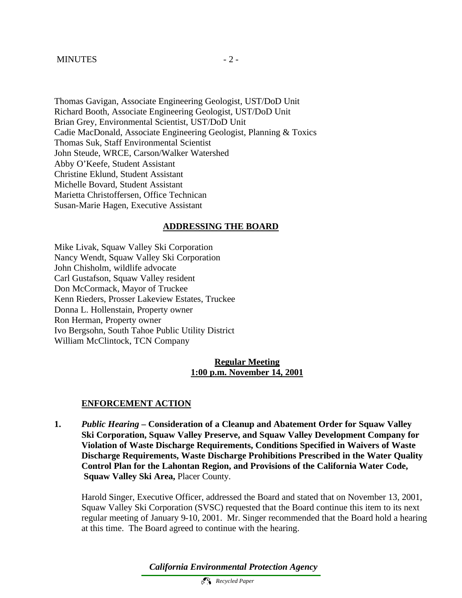#### MINUTES  $-2$  -

Thomas Gavigan, Associate Engineering Geologist, UST/DoD Unit Richard Booth, Associate Engineering Geologist, UST/DoD Unit Brian Grey, Environmental Scientist, UST/DoD Unit Cadie MacDonald, Associate Engineering Geologist, Planning & Toxics Thomas Suk, Staff Environmental Scientist John Steude, WRCE, Carson/Walker Watershed Abby O'Keefe, Student Assistant Christine Eklund, Student Assistant Michelle Bovard, Student Assistant Marietta Christoffersen, Office Technican Susan-Marie Hagen, Executive Assistant

#### **ADDRESSING THE BOARD**

Mike Livak, Squaw Valley Ski Corporation Nancy Wendt, Squaw Valley Ski Corporation John Chisholm, wildlife advocate Carl Gustafson, Squaw Valley resident Don McCormack, Mayor of Truckee Kenn Rieders, Prosser Lakeview Estates, Truckee Donna L. Hollenstain, Property owner Ron Herman, Property owner Ivo Bergsohn, South Tahoe Public Utility District William McClintock, TCN Company

#### **Regular Meeting 1:00 p.m. November 14, 2001**

#### **ENFORCEMENT ACTION**

**1.** *Public Hearing –* **Consideration of a Cleanup and Abatement Order for Squaw Valley Ski Corporation, Squaw Valley Preserve, and Squaw Valley Development Company for Violation of Waste Discharge Requirements, Conditions Specified in Waivers of Waste Discharge Requirements, Waste Discharge Prohibitions Prescribed in the Water Quality Control Plan for the Lahontan Region, and Provisions of the California Water Code, Squaw Valley Ski Area,** Placer County.

Harold Singer, Executive Officer, addressed the Board and stated that on November 13, 2001, Squaw Valley Ski Corporation (SVSC) requested that the Board continue this item to its next regular meeting of January 9-10, 2001. Mr. Singer recommended that the Board hold a hearing at this time. The Board agreed to continue with the hearing.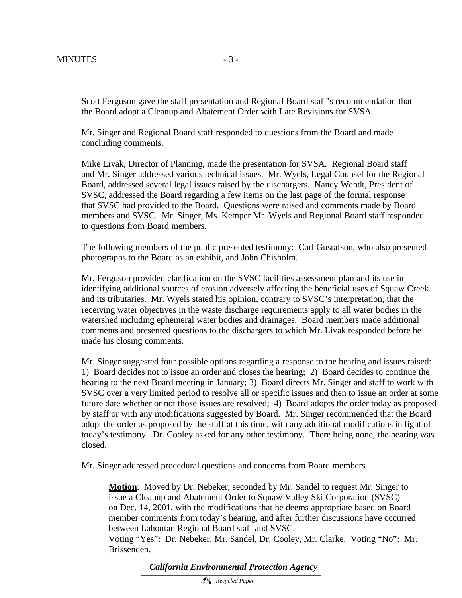Scott Ferguson gave the staff presentation and Regional Board staff's recommendation that the Board adopt a Cleanup and Abatement Order with Late Revisions for SVSA.

Mr. Singer and Regional Board staff responded to questions from the Board and made concluding comments.

Mike Livak, Director of Planning, made the presentation for SVSA. Regional Board staff and Mr. Singer addressed various technical issues. Mr. Wyels, Legal Counsel for the Regional Board, addressed several legal issues raised by the dischargers. Nancy Wendt, President of SVSC, addressed the Board regarding a few items on the last page of the formal response that SVSC had provided to the Board. Questions were raised and comments made by Board members and SVSC. Mr. Singer, Ms. Kemper Mr. Wyels and Regional Board staff responded to questions from Board members.

The following members of the public presented testimony: Carl Gustafson, who also presented photographs to the Board as an exhibit, and John Chisholm.

Mr. Ferguson provided clarification on the SVSC facilities assessment plan and its use in identifying additional sources of erosion adversely affecting the beneficial uses of Squaw Creek and its tributaries. Mr. Wyels stated his opinion, contrary to SVSC's interpretation, that the receiving water objectives in the waste discharge requirements apply to all water bodies in the watershed including ephemeral water bodies and drainages. Board members made additional comments and presented questions to the dischargers to which Mr. Livak responded before he made his closing comments.

Mr. Singer suggested four possible options regarding a response to the hearing and issues raised: 1) Board decides not to issue an order and closes the hearing; 2) Board decides to continue the hearing to the next Board meeting in January; 3) Board directs Mr. Singer and staff to work with SVSC over a very limited period to resolve all or specific issues and then to issue an order at some future date whether or not those issues are resolved; 4) Board adopts the order today as proposed by staff or with any modifications suggested by Board. Mr. Singer recommended that the Board adopt the order as proposed by the staff at this time, with any additional modifications in light of today's testimony. Dr. Cooley asked for any other testimony. There being none, the hearing was closed.

Mr. Singer addressed procedural questions and concerns from Board members.

**Motion**: Moved by Dr. Nebeker, seconded by Mr. Sandel to request Mr. Singer to issue a Cleanup and Abatement Order to Squaw Valley Ski Corporation (SVSC) on Dec. 14, 2001, with the modifications that he deems appropriate based on Board member comments from today's hearing, and after further discussions have occurred between Lahontan Regional Board staff and SVSC.

Voting "Yes": Dr. Nebeker, Mr. Sandel, Dr. Cooley, Mr. Clarke. Voting "No": Mr. Brissenden.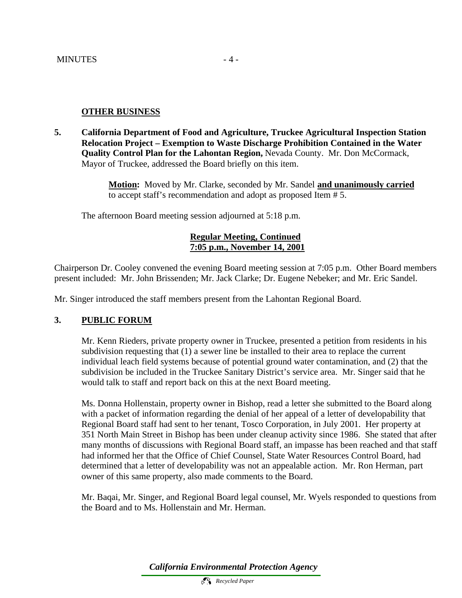#### **OTHER BUSINESS**

**5. California Department of Food and Agriculture, Truckee Agricultural Inspection Station Relocation Project – Exemption to Waste Discharge Prohibition Contained in the Water Quality Control Plan for the Lahontan Region,** Nevada County. Mr. Don McCormack, Mayor of Truckee, addressed the Board briefly on this item.

> **Motion:** Moved by Mr. Clarke, seconded by Mr. Sandel **and unanimously carried** to accept staff's recommendation and adopt as proposed Item # 5.

The afternoon Board meeting session adjourned at 5:18 p.m.

# **Regular Meeting, Continued 7:05 p.m., November 14, 2001**

Chairperson Dr. Cooley convened the evening Board meeting session at 7:05 p.m. Other Board members present included: Mr. John Brissenden; Mr. Jack Clarke; Dr. Eugene Nebeker; and Mr. Eric Sandel.

Mr. Singer introduced the staff members present from the Lahontan Regional Board.

# **3. PUBLIC FORUM**

Mr. Kenn Rieders, private property owner in Truckee, presented a petition from residents in his subdivision requesting that (1) a sewer line be installed to their area to replace the current individual leach field systems because of potential ground water contamination, and (2) that the subdivision be included in the Truckee Sanitary District's service area. Mr. Singer said that he would talk to staff and report back on this at the next Board meeting.

Ms. Donna Hollenstain, property owner in Bishop, read a letter she submitted to the Board along with a packet of information regarding the denial of her appeal of a letter of developability that Regional Board staff had sent to her tenant, Tosco Corporation, in July 2001. Her property at 351 North Main Street in Bishop has been under cleanup activity since 1986. She stated that after many months of discussions with Regional Board staff, an impasse has been reached and that staff had informed her that the Office of Chief Counsel, State Water Resources Control Board, had determined that a letter of developability was not an appealable action. Mr. Ron Herman, part owner of this same property, also made comments to the Board.

Mr. Baqai, Mr. Singer, and Regional Board legal counsel, Mr. Wyels responded to questions from the Board and to Ms. Hollenstain and Mr. Herman.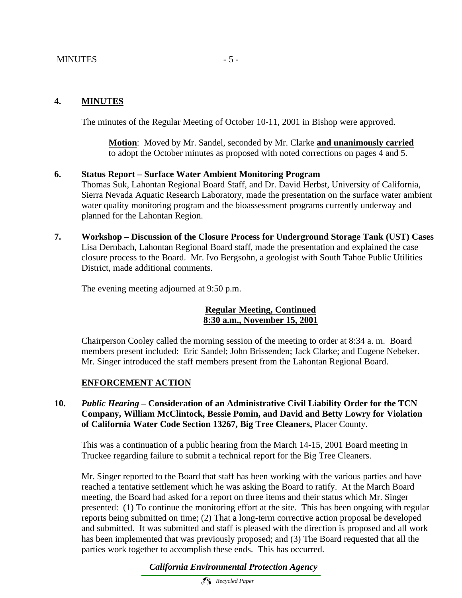#### MINUTES - 5 -

#### **4. MINUTES**

The minutes of the Regular Meeting of October 10-11, 2001 in Bishop were approved.

**Motion**: Moved by Mr. Sandel, seconded by Mr. Clarke **and unanimously carried** to adopt the October minutes as proposed with noted corrections on pages 4 and 5.

#### **6. Status Report – Surface Water Ambient Monitoring Program**

Thomas Suk, Lahontan Regional Board Staff, and Dr. David Herbst, University of California, Sierra Nevada Aquatic Research Laboratory, made the presentation on the surface water ambient water quality monitoring program and the bioassessment programs currently underway and planned for the Lahontan Region.

**7. Workshop – Discussion of the Closure Process for Underground Storage Tank (UST) Cases** Lisa Dernbach, Lahontan Regional Board staff, made the presentation and explained the case closure process to the Board. Mr. Ivo Bergsohn, a geologist with South Tahoe Public Utilities District, made additional comments.

The evening meeting adjourned at 9:50 p.m.

#### **Regular Meeting, Continued 8:30 a.m., November 15, 2001**

Chairperson Cooley called the morning session of the meeting to order at 8:34 a. m. Board members present included: Eric Sandel; John Brissenden; Jack Clarke; and Eugene Nebeker. Mr. Singer introduced the staff members present from the Lahontan Regional Board.

#### **ENFORCEMENT ACTION**

#### **10.** *Public Hearing –* **Consideration of an Administrative Civil Liability Order for the TCN Company, William McClintock, Bessie Pomin, and David and Betty Lowry for Violation of California Water Code Section 13267, Big Tree Cleaners,** Placer County.

This was a continuation of a public hearing from the March 14-15, 2001 Board meeting in Truckee regarding failure to submit a technical report for the Big Tree Cleaners.

Mr. Singer reported to the Board that staff has been working with the various parties and have reached a tentative settlement which he was asking the Board to ratify. At the March Board meeting, the Board had asked for a report on three items and their status which Mr. Singer presented: (1) To continue the monitoring effort at the site. This has been ongoing with regular reports being submitted on time; (2) That a long-term corrective action proposal be developed and submitted. It was submitted and staff is pleased with the direction is proposed and all work has been implemented that was previously proposed; and (3) The Board requested that all the parties work together to accomplish these ends. This has occurred.